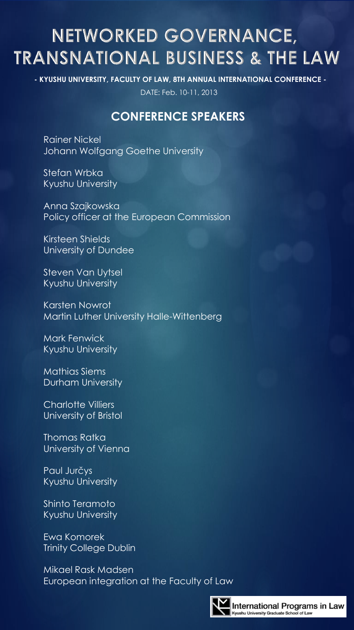# NETWORKED GOVERNANCE, **TRANSNATIONAL BUSINESS & THE LAW**

**- KYUSHU UNIVERSITY, FACULTY OF LAW, 8TH ANNUAL INTERNATIONAL CONFERENCE -**

DATE: Feb. 10-11, 2013

## **CONFERENCE SPEAKERS**

Rainer Nickel Johann Wolfgang Goethe University

Stefan Wrbka Kyushu University

Anna Szajkowska Policy officer at the European Commission

Kirsteen Shields University of Dundee

Steven Van Uytsel Kyushu University

Karsten Nowrot Martin Luther University Halle-Wittenberg

Mark Fenwick Kyushu University

Mathias Siems Durham University

Charlotte Villiers University of Bristol

Thomas Ratka University of Vienna

Paul Jurčys Kyushu University

Shinto Teramoto Kyushu University

Ewa Komorek Trinity College Dublin

Mikael Rask Madsen European integration at the Faculty of Law